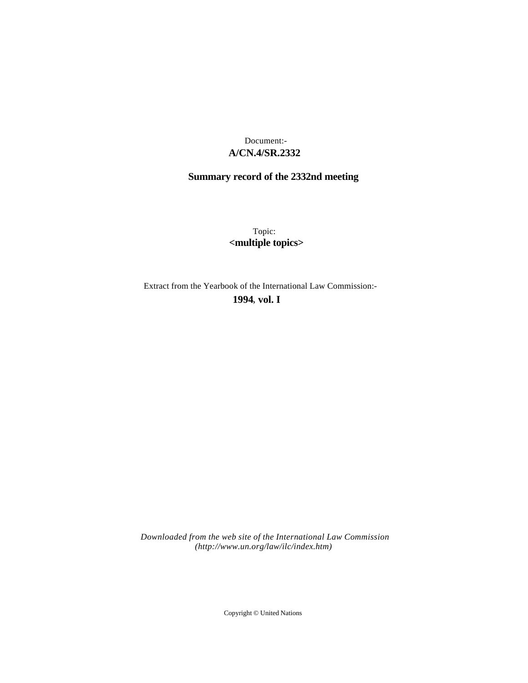## **A/CN.4/SR.2332** Document:-

# **Summary record of the 2332nd meeting**

Topic: **<multiple topics>**

Extract from the Yearbook of the International Law Commission:-

**1994** , **vol. I**

*Downloaded from the web site of the International Law Commission (http://www.un.org/law/ilc/index.htm)*

Copyright © United Nations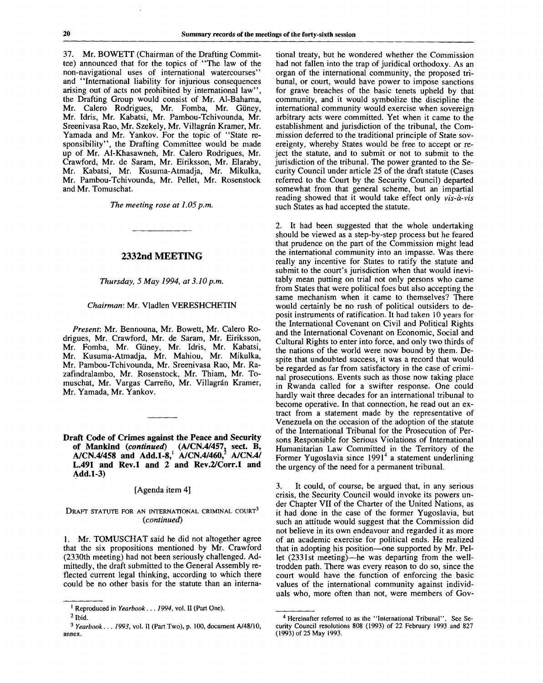37. Mr. BOWETT (Chairman of the Drafting Committee) announced that for the topics of "The law of the non-navigational uses of international watercourses" and "International liability for injurious consequences arising out of acts not prohibited by international law", the Drafting Group would consist of Mr. Al-Baharna, Mr. Calero Rodrigues, Mr. Fomba, Mr. Giiney, Mr. Idris, Mr. Kabatsi, Mr. Pambou-Tchivounda, Mr. Sreenivasa Rao, Mr. Szekely, Mr. Villagrán Kramer, Mr. Yamada and Mr. Yankov. For the topic of "State responsibility", the Drafting Committee would be made up of Mr. Al-Khasawneh, Mr. Calero Rodrigues, Mr. Crawford, Mr. de Saram, Mr. Eiriksson, Mr. Elaraby, Mr. Kabatsi, Mr. Kusuma-Atmadja, Mr. Mikulka, Mr. Pambou-Tchivounda, Mr. Pellet, Mr. Rosenstock and Mr. Tomuschat.

*The meeting rose at 1.05 p.m.*

### **2332nd MEETING**

*Thursday, 5 May 1994, at 3.10 p.m.*

#### *Chairman:* Mr. Vladlen VERESHCHETIN

*Present:* Mr. Bennouna, Mr. Bowett, Mr. Calero Rodrigues, Mr. Crawford, Mr. de Saram, Mr. Eiriksson, Mr. Fomba, Mr. Giiney, Mr. Idris, Mr. Kabatsi, Mr. Kusuma-Atmadja, Mr. Mahiou, Mr. Mikulka, Mr. Pambou-Tchivounda, Mr. Sreenivasa Rao, Mr. Razafindralambo, Mr. Rosenstock, Mr. Thiam, Mr. Tomuschat, Mr. Vargas Carreño, Mr. Villagrán Kramer, Mr. Yamada, Mr. Yankov.

**Draft Code of Crimes against the Peace and Security of Mankind** *(continued)* **(A/CN.4/457. sect. B, A/CN.4/458 and Add.1-8,<sup>1</sup> A/CN.4/460,<sup>1</sup> A/CN.4/ L.491 and Rev.l and 2 and Rev.2/Corr.l and Add.1-3)**

#### [Agenda item 4]

#### DRAFT STATUTE FOR AN INTERNATIONAL CRIMINAL COURT<sup>3</sup> *(continued)*

1. Mr. TOMUSCHAT said he did not altogether agree that the six propositions mentioned by Mr. Crawford (2330th meeting) had not been seriously challenged. Admittedly, the draft submitted to the General Assembly reflected current legal thinking, according to which there could be no other basis for the statute than an interna-

tional treaty, but he wondered whether the Commission had not fallen into the trap of juridical orthodoxy. As an organ of the international community, the proposed tribunal, or court, would have power to impose sanctions for grave breaches of the basic tenets upheld by that community, and it would symbolize the discipline the international community would exercise when sovereign arbitrary acts were committed. Yet when it came to the establishment and jurisdiction of the tribunal, the Commission deferred to the traditional principle of State sovereignty, whereby States would be free to accept or reject the statute, and to submit or not to submit to the jurisdiction of the tribunal. The power granted to the Security Council under article 25 of the draft statute (Cases referred to the Court by the Security Council) departed somewhat from that general scheme, but an impartial reading showed that it would take effect only *vis-a-vis* such States as had accepted the statute.

2. It had been suggested that the whole undertaking should be viewed as a step-by-step process but he feared that prudence on the part of the Commission might lead the international community into an impasse. Was there really any incentive for States to ratify the statute and submit to the court's jurisdiction when that would inevitably mean putting on trial not only persons who came from States that were political foes but also accepting the same mechanism when it came to themselves? There would certainly be no rush of political outsiders to deposit instruments of ratification. It had taken 10 years for the International Covenant on Civil and Political Rights and the International Covenant on Economic, Social and Cultural Rights to enter into force, and only two thirds of the nations of the world were now bound by them. Despite that undoubted success, it was a record that would be regarded as far from satisfactory in the case of criminal prosecutions. Events such as those now taking place in Rwanda called for a swifter response. One could hardly wait three decades for an international tribunal to become operative. In that connection, he read out an extract from a statement made by the representative of Venezuela on the occasion of the adoption of the statute of the International Tribunal for the Prosecution of Persons Responsible for Serious Violations of International Humanitarian Law Committed in the Territory of the Former Yugoslavia since 1991<sup>4</sup> a statement underlining the urgency of the need for a permanent tribunal.

3. It could, of course, be argued that, in any serious crisis, the Security Council would invoke its powers under Chapter VII of the Charter of the United Nations, as it had done in the case of the former Yugoslavia, but such an attitude would suggest that the Commission did not believe in its own endeavour and regarded it as more of an academic exercise for political ends. He realized that in adopting his position—one supported by Mr. Pellet (2331st meeting)—he was departing from the welltrodden path. There was every reason to do so, since the court would have the function of enforcing the basic values of the international community against individuals who, more often than not, were members of Gov-

<sup>1</sup> Reproduced in *Yearbook ... 1994,* vol. II (Part One).

 $<sup>2</sup>$  Ibid.</sup>

<sup>3</sup>  *Yearbook . . . 1993,* vol. II (Part Two), p. 100, document A/48/10, annex.

<sup>4</sup> Hereinafter referred to as the "International Tribunal". See Security Council resolutions 808 (1993) of 22 February 1993 and 827 (1993) of 25 May 1993.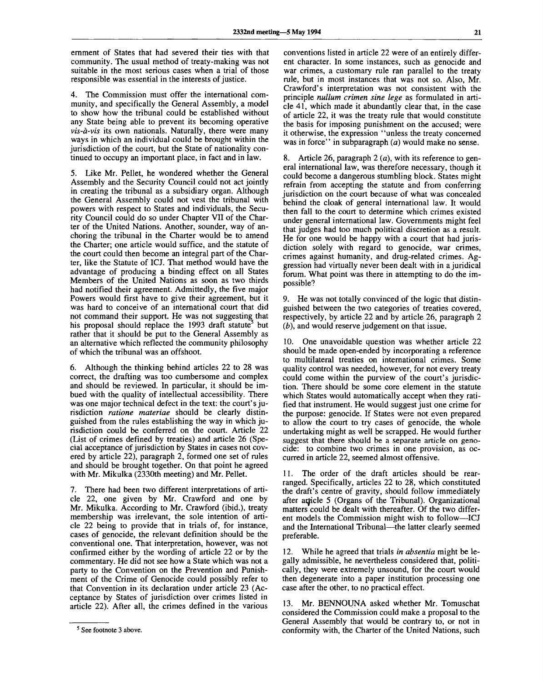ernment of States that had severed their ties with that community. The usual method of treaty-making was not suitable in the most serious cases when a trial of those responsible was essential in the interests of justice.

4. The Commission must offer the international community, and specifically the General Assembly, a model to show how the tribunal could be established without any State being able to prevent its becoming operative *vis-a-vis* its own nationals. Naturally, there were many ways in which an individual could be brought within the jurisdiction of the court, but the State of nationality continued to occupy an important place, in fact and in law.

5. Like Mr. Pellet, he wondered whether the General Assembly and the Security Council could not act jointly in creating the tribunal as a subsidiary organ. Although the General Assembly could not vest the tribunal with powers with respect to States and individuals, the Security Council could do so under Chapter VII of the Charter of the United Nations. Another, sounder, way of anchoring the tribunal in the Charter would be to amend the Charter; one article would suffice, and the statute of the court could then become an integral part of the Charter, like the Statute of ICJ. That method would have the advantage of producing a binding effect on all States Members of the United Nations as soon as two thirds had notified their agreement. Admittedly, the five major Powers would first have to give their agreement, but it was hard to conceive of an international court that did not command their support. He was not suggesting that his proposal should replace the 1993 draft statute<sup>5</sup> but rather that it should be put to the General Assembly as an alternative which reflected the community philosophy of which the tribunal was an offshoot.

6. Although the thinking behind articles 22 to 28 was correct, the drafting was too cumbersome and complex and should be reviewed. In particular, it should be imbued with the quality of intellectual accessibility. There was one major technical defect in the text: the court's jurisdiction *ratione materiae* should be clearly distinguished from the rules establishing the way in which jurisdiction could be conferred on the court. Article 22 (List of crimes defined by treaties) and article 26 (Special acceptance of jurisdiction by States in cases not covered by article 22), paragraph 2, formed one set of rules and should be brought together. On that point he agreed with Mr. Mikulka (2330th meeting) and Mr. Pellet.

7. There had been two different interpretations of article 22, one given by Mr. Crawford and one by Mr. Mikulka. According to Mr. Crawford (ibid.), treaty membership was irrelevant, the sole intention of article 22 being to provide that in trials of, for instance, cases of genocide, the relevant definition should be the conventional one. That interpretation, however, was not confirmed either by the wording of article 22 or by the commentary. He did not see how a State which was not a party to the Convention on the Prevention and Punishment of the Crime of Genocide could possibly refer to that Convention in its declaration under article 23 (Acceptance by States of jurisdiction over crimes listed in article 22). After all, the crimes defined in the various

conventions listed in article 22 were of an entirely different character. In some instances, such as genocide and war crimes, a customary rule ran parallel to the treaty rule, but in most instances that was not so. Also, Mr. Crawford's interpretation was not consistent with the principle *nullum crimen sine lege* as formulated in article 41, which made it abundantly clear that, in the case of article 22, it was the treaty rule that would constitute the basis for imposing punishment on the accused; were it otherwise, the expression "unless the treaty concerned was in force" in subparagraph *(a)* would make no sense.

8. Article 26, paragraph  $2(a)$ , with its reference to general international law, was therefore necessary, though it could become a dangerous stumbling block. States might refrain from accepting the statute and from conferring jurisdiction on the court because of what was concealed behind the cloak of general international law. It would then fall to the court to determine which crimes existed under general international law. Governments might feel that judges had too much political discretion as a result. He for one would be happy with a court that had jurisdiction solely with regard to genocide, war crimes, crimes against humanity, and drug-related crimes. Aggression had virtually never been dealt with in a juridical forum. What point was there in attempting to do the impossible?

9. He was not totally convinced of the logic that distinguished between the two categories of treaties covered, respectively, by article 22 and by article 26, paragraph 2 *(b),* and would reserve judgement on that issue.

10. One unavoidable question was whether article 22 should be made open-ended by incorporating a reference to multilateral treaties on international crimes. Some quality control was needed, however, for not every treaty could come within the purview of the court's jurisdiction. There should be some core element in the statute which States would automatically accept when they ratified that instrument. He would suggest just one crime for the purpose: genocide. If States were not even prepared to allow the court to try cases of genocide, the whole undertaking might as well be scrapped. He would further suggest that there should be a separate article on genocide: to combine two crimes in one provision, as occurred in article 22, seemed almost offensive.

11. The order of the draft articles should be rearranged. Specifically, articles 22 to 28, which constituted the draft's centre of gravity, should follow immediately after arricle 5 (Organs of the Tribunal). Organizational matters could be dealt with thereafter. Of the two different models the Commission might wish to follow—ICJ and the International Tribunal—the latter clearly seemed preferable.

12. While he agreed that trials *in absentia* might be legally admissible, he nevertheless considered that, politically, they were extremely unsound, for the court would then degenerate into a paper institution processing one case after the other, to no practical effect.

13. Mr. BENNOUNA asked whether Mr. Tomuschat considered the Commission could make a proposal to the General Assembly that would be contrary to, or not in conformity with, the Charter of the United Nations, such

<sup>&</sup>lt;sup>5</sup> See footnote 3 above.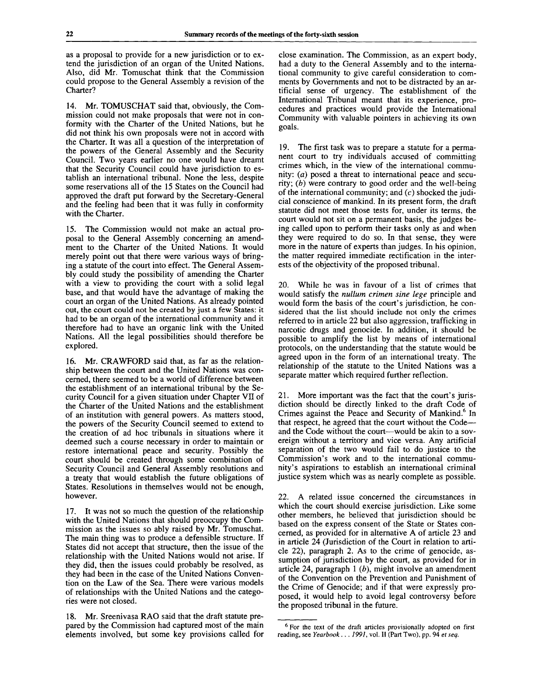as a proposal to provide for a new jurisdiction or to extend the jurisdiction of an organ of the United Nations. Also, did Mr. Tomuschat think that the Commission could propose to the General Assembly a revision of the Charter?

14. Mr. TOMUSCHAT said that, obviously, the Commission could not make proposals that were not in conformity with the Charter of the United Nations, but he did not think his own proposals were not in accord with the Charter. It was all a question of the interpretation of the powers of the General Assembly and the Security Council. Two years earlier no one would have dreamt that the Security Council could have jurisdiction to establish an international tribunal. None the less, despite some reservations all of the 15 States on the Council had approved the draft put forward by the Secretary-General and the feeling had been that it was fully in conformity with the Charter.

15. The Commission would not make an actual proposal to the General Assembly concerning an amendment to the Charter of the United Nations. It would merely point out that there were various ways of bringing a statute of the court into effect. The General Assembly could study the possibility of amending the Charter with a view to providing the court with a solid legal base, and that would have the advantage of making the court an organ of the United Nations. As already pointed out, the court could not be created by just a few States: it had to be an organ of the international community and it therefore had to have an organic link with the United Nations. All the legal possibilities should therefore be explored.

16. Mr. CRAWFORD said that, as far as the relationship between the court and the United Nations was concerned, there seemed to be a world of difference between the establishment of an international tribunal by the Security Council for a given situation under Chapter VII of the Charter of the United Nations and the establishment of an institution with general powers. As matters stood, the powers of the Security Council seemed to extend to the creation of ad hoc tribunals in situations where it deemed such a course necessary in order to maintain or restore international peace and security. Possibly the court should be created through some combination of Security Council and General Assembly resolutions and a treaty that would establish the future obligations of States. Resolutions in themselves would not be enough, however.

17. It was not so much the question of the relationship with the United Nations that should preoccupy the Commission as the issues so ably raised by Mr. Tomuschat. The main thing was to produce a defensible structure. If States did not accept that structure, then the issue of the relationship with the United Nations would not arise. If they did, then the issues could probably be resolved, as they had been in the case of the United Nations Convention on the Law of the Sea. There were various models of relationships with the United Nations and the categories were not closed.

18. Mr. Sreenivasa RAO said that the draft statute prepared by the Commission had captured most of the main elements involved, but some key provisions called for

close examination. The Commission, as an expert body, had a duty to the General Assembly and to the international community to give careful consideration to comments by Governments and not to be distracted by an artificial sense of urgency. The establishment of the International Tribunal meant that its experience, procedures and practices would provide the International Community with valuable pointers in achieving its own goals.

19. The first task was to prepare a statute for a permanent court to try individuals accused of committing crimes which, in the view of the international community: *(a)* posed a threat to international peace and security; *(b)* were contrary to good order and the well-being of the international community; and  $(c)$  shocked the judicial conscience of mankind. In its present form, the draft statute did not meet those tests for, under its terms, the court would not sit on a permanent basis, the judges being called upon to perform their tasks only as and when they were required to do so. In that sense, they were more in the nature of experts than judges. In his opinion, the matter required immediate rectification in the interests of the objectivity of the proposed tribunal.

20. While he was in favour of a list of crimes that would satisfy the *nullum crimen sine lege* principle and would form the basis of the court's jurisdiction, he considered that the list should include not only the crimes referred to in article 22 but also aggression, trafficking in narcotic drugs and genocide. In addition, it should be possible to amplify the list by means of international protocols, on the understanding that the statute would be agreed upon in the form of an international treaty. The relationship of the statute to the United Nations was a separate matter which required further reflection.

21. More important was the fact that the court's jurisdiction should be directly linked to the draft Code of Crimes against the Peace and Security of Mankind.<sup>6</sup> In that respect, he agreed that the court without the Code and the Code without the court—would be akin to a sovereign without a territory and vice versa. Any artificial separation of the two would fail to do justice to the Commission's work and to the international community's aspirations to establish an international criminal justice system which was as nearly complete as possible.

22. A related issue concerned the circumstances in which the court should exercise jurisdiction. Like some other members, he believed that jurisdiction should be based on the express consent of the State or States concerned, as provided for in alternative A of article 23 and in article 24 (Jurisdiction of the Court in relation to article 22), paragraph 2. As to the crime of genocide, assumption of jurisdiction by the court, as provided for in article 24, paragraph 1 *(b),* might involve an amendment of the Convention on the Prevention and Punishment of the Crime of Genocide; and if that were expressly proposed, it would help to avoid legal controversy before the proposed tribunal in the future.

<sup>&</sup>lt;sup>6</sup> For the text of the draft articles provisionally adopted on first reading, see *Yearbook* . . . *1991,* vol. II (Part Two), pp. 94 *et seq.*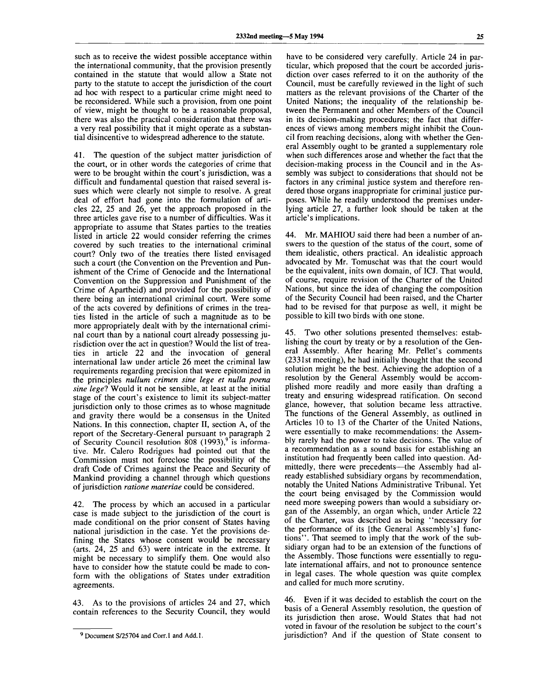such as to receive the widest possible acceptance within the international community, that the provision presently contained in the statute that would allow a State not party to the statute to accept the jurisdiction of the court ad hoc with respect to a particular crime might need to be reconsidered. While such a provision, from one point of view, might be thought to be a reasonable proposal, there was also the practical consideration that there was a very real possibility that it might operate as a substantial disincentive to widespread adherence to the statute.

41. The question of the subject matter jurisdiction of the court, or in other words the categories of crime that were to be brought within the court's jurisdiction, was a difficult and fundamental question that raised several issues which were clearly not simple to resolve. A great deal of effort had gone into the formulation of articles 22, 25 and 26, yet the approach proposed in the three articles gave rise to a number of difficulties. Was it appropriate to assume that States parties to the treaties listed in article 22 would consider referring the crimes covered by such treaties to the international criminal court? Only two of the treaties there listed envisaged such a court (the Convention on the Prevention and Punishment of the Crime of Genocide and the International Convention on the Suppression and Punishment of the Crime of Apartheid) and provided for the possibility of there being an international criminal court. Were some of the acts covered by definitions of crimes in the treaties listed in the article of such a magnitude as to be more appropriately dealt with by the international criminal court than by a national court already possessing jurisdiction over the act in question? Would the list of treaties in article 22 and the invocation of general international law under article 26 meet the criminal law requirements regarding precision that were epitomized in the principles *nullum crimen sine lege et nulla poena sine legel* Would it not be sensible, at least at the initial stage of the court's existence to limit its subject-matter jurisdiction only to those crimes as to whose magnitude and gravity there would be a consensus in the United and gravity there would be a consensus in the Officer requois. In this connection, chapter  $n$ , section  $A$ , or the report of the Secretary-General pursuant to paragraph 2<br>of Security Council resolution 808 (1993),<sup>9</sup> is informaof Security Council resolution also (1993), is informative. Mr. Calero Rodrigues had pointed out that the Commission must not foreclose the possibility of the draft Code of Crimes against the Peace and Security of Mankind providing a channel through which questions of jurisdiction *ratione materiae* could be considered.

42. The process by which an accused in a particular case is made subject to the jurisdiction of the court is made conditional on the prior consent of States having national jurisdiction in the case. Yet the provisions defining the States whose consent would be necessary (arts. 24, 25 and 63) were intricate in the extreme. It might be necessary to simplify them. One would also have to consider how the statute could be made to conform with the obligations of States under extradition agreements.

43. As to the provisions of articles 24 and 27, which contain references to the Security Council, they would

have to be considered very carefully. Article 24 in particular, which proposed that the court be accorded jurisdiction over cases referred to it on the authority of the Council, must be carefully reviewed in the light of such matters as the relevant provisions of the Charter of the United Nations; the inequality of the relationship between the Permanent and other Members of the Council in its decision-making procedures; the fact that differences of views among members might inhibit the Council from reaching decisions, along with whether the General Assembly ought to be granted a supplementary role when such differences arose and whether the fact that the decision-making process in the Council and in the Assembly was subject to considerations that should not be factors in any criminal justice system and therefore rendered those organs inappropriate for criminal justice purposes. While he readily understood the premises underlying article 27, a further look should be taken at the article's implications.

44. Mr. MAHIOU said there had been a number of answers to the question of the status of the court, some of them idealistic, others practical. An idealistic approach advocated by Mr. Tomuschat was that the court would be the equivalent, inits own domain, of ICJ. That would, of course, require revision of the Charter of the United Nations, but since the idea of changing the composition of the Security Council had been raised, and the Charter had to be revised for that purpose as well, it might be possible to kill two birds with one stone.

45. Two other solutions presented themselves: establishing the court by treaty or by a resolution of the General Assembly. After hearing Mr. Pellet's comments (2331st meeting), he had initially thought that the second solution might be the best. Achieving the adoption of a resolution by the General Assembly would be accomplished more readily and more easily than drafting a treaty and ensuring widespread ratification. On second glance, however, that solution became less attractive. The functions of the General Assembly, as outlined in Articles 10 to 13 of the Charter of the United Nations, were essentially to make recommendations: the Assembly rarely had the power to take decisions. The value of a recommendation as a sound basis for establishing an institution had frequently been called into question. Admittedly, there were precedents—the Assembly had already established subsidiary organs by recommendation, notably the United Nations Administrative Tribunal. Yet the court being envisaged by the Commission would need more sweeping powers than would a subsidiary organ of the Assembly, an organ which, under Article 22 of the Charter, was described as being "necessary for the performance of its [the General Assembly's] functions". That seemed to imply that the work of the subsidiary organ had to be an extension of the functions of the Assembly. Those functions were essentially to regulate international affairs, and not to pronounce sentence in legal cases. The whole question was quite complex and called for much more scrutiny.

46. Even if it was decided to establish the court on the basis of a General Assembly resolution, the question of its jurisdiction then arose. Would States that had not voted in favour of the resolution be subject to the court's jurisdiction? And if the question of State consent to

<sup>&</sup>lt;sup>9</sup> Document S/25704 and Corr.1 and Add.1.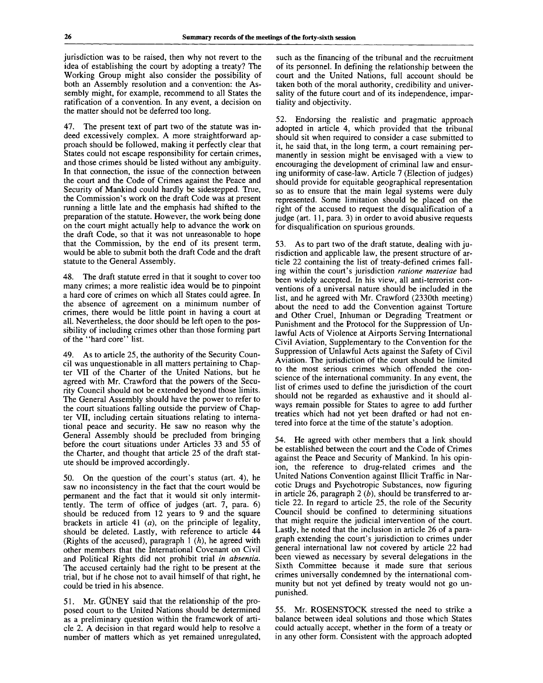jurisdiction was to be raised, then why not revert to the idea of establishing the court by adopting a treaty? The Working Group might also consider the possibility of both an Assembly resolution and a convention: the Assembly might, for example, recommend to all States the ratification of a convention. In any event, a decision on the matter should not be deferred too long.

47. The present text of part two of the statute was indeed excessively complex. A more straightforward approach should be followed, making it perfectly clear that States could not escape responsibility for certain crimes, and those crimes should be listed without any ambiguity. In that connection, the issue of the connection between the court and the Code of Crimes against the Peace and Security of Mankind could hardly be sidestepped. True, the Commission's work on the draft Code was at present running a little late and the emphasis had shifted to the preparation of the statute. However, the work being done on the court might actually help to advance the work on the draft Code, so that it was not unreasonable to hope that the Commission, by the end of its present term, would be able to submit both the draft Code and the draft statute to the General Assembly.

48. The draft statute erred in that it sought to cover too many crimes; a more realistic idea would be to pinpoint a hard core of crimes on which all States could agree. In the absence of agreement on a minimum number of crimes, there would be little point in having a court at all. Nevertheless, the door should be left open to the possibility of including crimes other than those forming part of the "hard core" list.

49. As to article 25, the authority of the Security Council was unquestionable in all matters pertaining to Chapter VII of the Charter of the United Nations, but he agreed with Mr. Crawford that the powers of the Security Council should not be extended beyond those limits. The General Assembly should have the power to refer to the court situations falling outside the purview of Chapter VII, including certain situations relating to international peace and security. He saw no reason why the General Assembly should be precluded from bringing before the court situations under Articles 33 and 55 of the Charter, and thought that article 25 of the draft statute should be improved accordingly.

50. On the question of the court's status (art. 4), he saw no inconsistency in the fact that the court would be permanent and the fact that it would sit only intermittently. The term of office of judges (art. 7, para. 6) should be reduced from 12 years to 9 and the square brackets in article 41  $(a)$ , on the principle of legality, should be deleted. Lastly, with reference to article 44 (Rights of the accused), paragraph 1 *(h),* he agreed with other members that the International Covenant on Civil and Political Rights did not prohibit trial *in absentia.* The accused certainly had the right to be present at the trial, but if he chose not to avail himself of that right, he could be tried in his absence.

51. Mr. GUNEY said that the relationship of the proposed court to the United Nations should be determined as a preliminary question within the framework of article 2. A decision in that regard would help to resolve a number of matters which as yet remained unregulated, such as the financing of the tribunal and the recruitment of its personnel. In defining the relationship between the court and the United Nations, full account should be taken both of the moral authority, credibility and universality of the future court and of its independence, impartiality and objectivity.

52. Endorsing the realistic and pragmatic approach adopted in article 4, which provided that the tribunal should sit when required to consider a case submitted to it, he said that, in the long term, a court remaining permanently in session might be envisaged with a view to encouraging the development of criminal law and ensuring uniformity of case-law. Article 7 (Election of judges) should provide for equitable geographical representation so as to ensure that the main legal systems were duly represented. Some limitation should be placed on the right of the accused to request the disqualification of a judge (art. 11, para. 3) in order to avoid abusive requests for disqualification on spurious grounds.

53. As to part two of the draft statute, dealing with jurisdiction and applicable law, the present structure of article 22 containing the list of treaty-defined crimes falling within the court's jurisdiction *ratione materiae* had been widely accepted. In his view, all anti-terrorist conventions of a universal nature should be included in the list, and he agreed with Mr. Crawford (2330th meeting) about the need to add the Convention against Torture and Other Cruel, Inhuman or Degrading Treatment or Punishment and the Protocol for the Suppression of Unlawful Acts of Violence at Airports Serving Internationa] Civil Aviation, Supplementary to the Convention for the Suppression of Unlawful Acts against the Safety of Civil Aviation. The jurisdiction of the court should be limited to the most serious crimes which offended the conscience of the international community. In any event, the list of crimes used to define the jurisdiction of the court should not be regarded as exhaustive and it should always remain possible for States to agree to add further treaties which had not yet been drafted or had not entered into force at the time of the statute's adoption.

54. He agreed with other members that a link should be established between the court and the Code of Crimes against the Peace and Security of Mankind. In his opinion, the reference to drug-related crimes and the United Nations Convention against Illicit Traffic in Narcotic Drugs and Psychotropic Substances, now figuring in article 26, paragraph 2 *(b),* should be transferred to article 22. In regard to article 25, the role of the Security Council should be confined to determining situations that might require the judicial intervention of the court. Lastly, he noted that the inclusion in article 26 of a paragraph extending the court's jurisdiction to crimes under general international law not covered by article 22 had been viewed as necessary by several delegations in the Sixth Committee because it made sure that serious crimes universally condemned by the international community but not yet defined by treaty would not go unpunished.

55. Mr. ROSENSTOCK stressed the need to strike a balance between ideal solutions and those which States could actually accept, whether in the form of a treaty or in any other form. Consistent with the approach adopted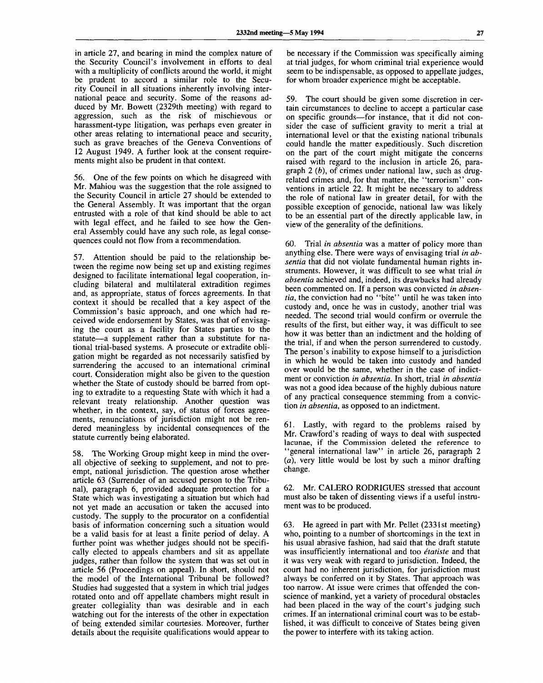in article 27, and bearing in mind the complex nature of the Security Council's involvement in efforts to deal with a multiplicity of conflicts around the world, it might be prudent to accord a similar role to the Security Council in all situations inherently involving international peace and security. Some of the reasons adduced by Mr. Bowett (2329th meeting) with regard to aggression, such as the risk of mischievous or harassment-type litigation, was perhaps even greater in other areas relating to international peace and security, such as grave breaches of the Geneva Conventions of 12 August 1949. A further look at the consent requirements might also be prudent in that context.

56. One of the few points on which he disagreed with Mr. Mahiou was the suggestion that the role assigned to the Security Council in article 27 should be extended to the General Assembly. It was important that the organ entrusted with a role of that kind should be able to act with legal effect, and he failed to see how the General Assembly could have any such role, as legal consequences could not flow from a recommendation.

57. Attention should be paid to the relationship between the regime now being set up and existing regimes designed to facilitate international legal cooperation, including bilateral and multilateral extradition regimes and, as appropriate, status of forces agreements. In that context it should be recalled that a key aspect of the Commission's basic approach, and one which had received wide endorsement by States, was that of envisaging the court as a facility for States parties to the statute—a supplement rather than a substitute for national trial-based systems. A prosecute or extradite obligation might be regarded as not necessarily satisfied by surrendering the accused to an international criminal court. Consideration might also be given to the question whether the State of custody should be barred from opting to extradite to a requesting State with which it had a relevant treaty relationship. Another question was whether, in the context, say, of status of forces agreements, renunciations of jurisdiction might not be rendered meaningless by incidental consequences of the statute currently being elaborated.

58. The Working Group might keep in mind the overall objective of seeking to supplement, and not to preempt, national jurisdiction. The question arose whether article 63 (Surrender of an accused person to the Tribunal), paragraph 6, provided adequate protection for a State which was investigating a situation but which had not yet made an accusation or taken the accused into custody. The supply to the procurator on a confidential basis of information concerning such a situation would be a valid basis for at least a finite period of delay. A further point was whether judges should not be specifically elected to appeals chambers and sit as appellate judges, rather than follow the system that was set out in article 56 (Proceedings on appeal). In short, should not the model of the International Tribunal be followed? Studies had suggested that a system in which trial judges rotated onto and off appellate chambers might result in greater collegiality than was desirable and in each watching out for the interests of the other in expectation of being extended similar courtesies. Moreover, further details about the requisite qualifications would appear to

be necessary if the Commission was specifically aiming at trial judges, for whom criminal trial experience would seem to be indispensable, as opposed to appellate judges, for whom broader experience might be acceptable.

59. The court should be given some discretion in certain circumstances to decline to accept a particular case on specific grounds—for instance, that it did not consider the case of sufficient gravity to merit a trial at international level or that the existing national tribunals could handle the matter expeditiously. Such discretion on the part of the court might mitigate the concerns raised with regard to the inclusion in article 26, paragraph 2 *(b),* of crimes under national law, such as drugrelated crimes and, for that matter, the "terrorism" conventions in article 22. It might be necessary to address the role of national law in greater detail, for with the possible exception of genocide, national law was likely to be an essential part of the directly applicable law, in view of the generality of the definitions.

60. Trial *in absentia* was a matter of policy more than anything else. There were ways of envisaging trial *in absentia* that did not violate fundamental human rights instruments. However, it was difficult to see what trial *in absentia* achieved and, indeed, its drawbacks had already been commented on. If a person was convicted *in absentia,* the conviction had no "bite" until he was taken into custody and, once he was in custody, another trial was needed. The second trial would confirm or overrule the results of the first, but either way, it was difficult to see how it was better than an indictment and the holding of the trial, if and when the person surrendered to custody. The person's inability to expose himself to a jurisdiction in which he would be taken into custody and handed over would be the same, whether in the case of indictment or conviction *in absentia.* In short, trial *in absentia* was not a good idea because of the highly dubious nature of any practical consequence stemming from a conviction *in absentia,* as opposed to an indictment.

61. Lastly, with regard to the problems raised by Mr. Crawford's reading of ways to deal with suspected lacunae, if the Commission deleted the reference to 'general international law" in article 26, paragraph 2 *(a),* very little would be lost by such a minor drafting change.

62. Mr. CALERO RODRIGUES stressed that account must also be taken of dissenting views if a useful instrument was to be produced.

63. He agreed in part with Mr. Pellet (2331st meeting) who, pointing to a number of shortcomings in the text in his usual abrasive fashion, had said that the draft statute was insufficiently international and too *etatiste* and that it was very weak with regard to jurisdiction. Indeed, the court had no inherent jurisdiction, for jurisdiction must always be conferred on it by States. That approach was too narrow. At issue were crimes that offended the conscience of mankind, yet a variety of procedural obstacles had been placed in the way of the court's judging such crimes. If an international criminal court was to be established, it was difficult to conceive of States being given the power to interfere with its taking action.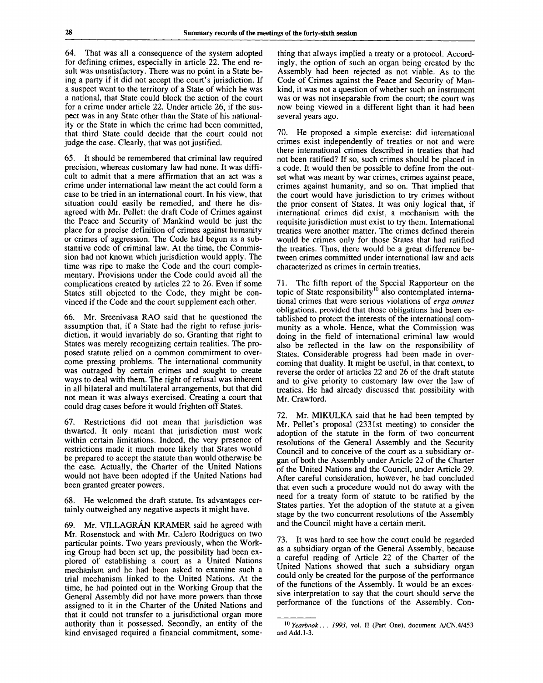64. That was all a consequence of the system adopted for defining crimes, especially in article 22. The end result was unsatisfactory. There was no point in a State being a party if it did not accept the court's jurisdiction. If a suspect went to the territory of a State of which he was a national, that State could block the action of the court for a crime under article 22. Under article 26, if the suspect was in any State other than the State of his nationality or the State in which the crime had been committed, that third State could decide that the court could not judge the case. Clearly, that was not justified.

65. It should be remembered that criminal law required precision, whereas customary law had none. It was difficult to admit that a mere affirmation that an act was a crime under international law meant the act could form a case to be tried in an international court. In his view, that situation could easily be remedied, and there he disagreed with Mr. Pellet: the draft Code of Crimes against the Peace and Security of Mankind would be just the place for a precise definition of crimes against humanity or crimes of aggression. The Code had begun as a substantive code of criminal law. At the time, the Commission had not known which jurisdiction would apply. The time was ripe to make the Code and the court complementary. Provisions under the Code could avoid all the complications created by articles 22 to 26. Even if some States still objected to the Code, they might be convinced if the Code and the court supplement each other.

66. Mr. Sreenivasa RAO said that he questioned the assumption that, if a State had the right to refuse jurisdiction, it would invariably do so. Granting that right to States was merely recognizing certain realities. The proposed statute relied on a common commitment to overcome pressing problems. The international community was outraged by certain crimes and sought to create ways to deal with them. The right of refusal was inherent in all bilateral and multilateral arrangements, but that did not mean it was always exercised. Creating a court that could drag cases before it would frighten off States.

67. Restrictions did not mean that jurisdiction was thwarted. It only meant that jurisdiction must work within certain limitations. Indeed, the very presence of restrictions made it much more likely that States would be prepared to accept the statute than would otherwise be the case. Actually, the Charter of the United Nations would not have been adopted if the United Nations had been granted greater powers.

68. He welcomed the draft statute. Its advantages certainly outweighed any negative aspects it might have.

69. Mr. VILLAGRAN KRAMER said he agreed with Mr. Rosenstock and with Mr. Calero Rodrigues on two particular points. Two years previously, when the Working Group had been set up, the possibility had been explored of establishing a court as a United Nations mechanism and he had been asked to examine such a trial mechanism linked to the United Nations. At the time, he had pointed out in the Working Group that the General Assembly did not have more powers than those assigned to it in the Charter of the United Nations and that it could not transfer to a jurisdictional organ more authority than it possessed. Secondly, an entity of the kind envisaged required a financial commitment, something that always implied a treaty or a protocol. Accordingly, the option of such an organ being created by the Assembly had been rejected as not viable. As to the Code of Crimes against the Peace and Security of Mankind, it was not a question of whether such an instrument was or was not inseparable from the court; the court was now being viewed in a different light than it had been several years ago.

70. He proposed a simple exercise: did international crimes exist independently of treaties or not and were there international crimes described in treaties that had not been ratified? If so, such crimes should be placed in a code. It would then be possible to define from the outset what was meant by war crimes, crimes against peace, crimes against humanity, and so on. That implied that the court would have jurisdiction to try crimes without the prior consent of States. It was only logical that, if international crimes did exist, a mechanism with the requisite jurisdiction must exist to try them. International treaties were another matter. The crimes defined therein would be crimes only for those States that had ratified the treaties. Thus, there would be a great difference between crimes committed under international law and acts characterized as crimes in certain treaties.

71. The fifth report of the Special Rapporteur on the topic of State responsibility<sup>10</sup> also contemplated international crimes that were serious violations of *erga omnes* obligations, provided that those obligations had been established to protect the interests of the international community as a whole. Hence, what the Commission was doing in the field of international criminal law would also be reflected in the law on the responsibility of States. Considerable progress had been made in overcoming that duality. It might be useful, in that context, to reverse the order of articles 22 and 26 of the draft statute and to give priority to customary law over the law of treaties. He had already discussed that possibility with Mr. Crawford.

72. Mr. MIKULKA said that he had been tempted by Mr. Pellet's proposal (2331st meeting) to consider the adoption of the statute in the form of two concurrent resolutions of the General Assembly and the Security Council and to conceive of the court as a subsidiary organ of both the Assembly under Article 22 of the Charter of the United Nations and the Council, under Article 29. After careful consideration, however, he had concluded that even such a procedure would not do away with the need for a treaty form of statute to be ratified by the States parties. Yet the adoption of the statute at a given stage by the two concurrent resolutions of the Assembly and the Council might have a certain merit.

73. It was hard to see how the court could be regarded as a subsidiary organ of the General Assembly, because a careful reading of Article 22 of the Charter of the United Nations showed that such a subsidiary organ could only be created for the purpose of the performance of the functions of the Assembly. It would be an excessive interpretation to say that the court should serve the performance of the functions of the Assembly. Con-

<sup>10</sup>  *Yearbook. . . 1993,* vol. II (Part One), document A/CN.4/453 and Add. 1-3.